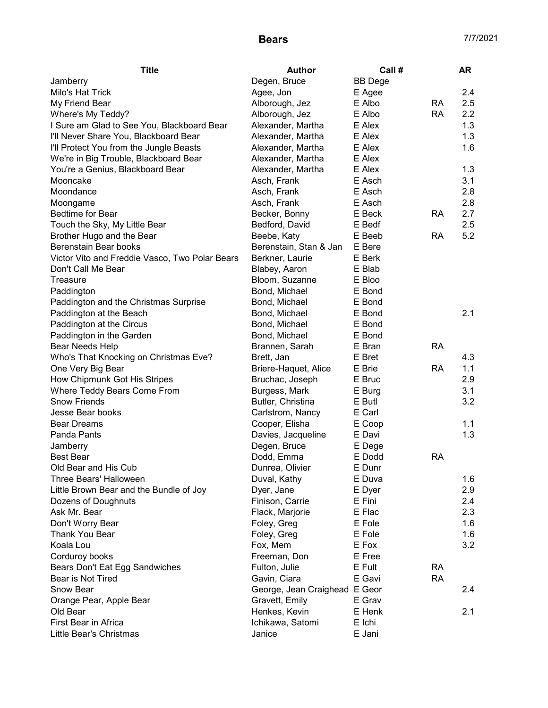| <b>Title</b>                                   | Author                        | Call #         |           | AR  |
|------------------------------------------------|-------------------------------|----------------|-----------|-----|
| Jamberry                                       | Degen, Bruce                  | <b>BB</b> Dege |           |     |
| Milo's Hat Trick                               | Agee, Jon                     | E Agee         |           | 2.4 |
| My Friend Bear                                 | Alborough, Jez                | E Albo         | <b>RA</b> | 2.5 |
| Where's My Teddy?                              | Alborough, Jez                | E Albo         | <b>RA</b> | 2.2 |
| I Sure am Glad to See You, Blackboard Bear     | Alexander, Martha             | E Alex         |           | 1.3 |
| I'll Never Share You, Blackboard Bear          | Alexander, Martha             | E Alex         |           | 1.3 |
| I'll Protect You from the Jungle Beasts        | Alexander, Martha             | E Alex         |           | 1.6 |
| We're in Big Trouble, Blackboard Bear          | Alexander, Martha             | E Alex         |           |     |
| You're a Genius, Blackboard Bear               | Alexander, Martha             | E Alex         |           | 1.3 |
| Mooncake                                       | Asch, Frank                   | E Asch         |           | 3.1 |
| Moondance                                      | Asch, Frank                   | E Asch         |           | 2.8 |
| Moongame                                       | Asch, Frank                   | E Asch         |           | 2.8 |
| Bedtime for Bear                               | Becker, Bonny                 | E Beck         | <b>RA</b> | 2.7 |
| Touch the Sky, My Little Bear                  | Bedford, David                | E Bedf         |           | 2.5 |
| Brother Hugo and the Bear                      | Beebe, Katy                   | E Beeb         | <b>RA</b> | 5.2 |
| Berenstain Bear books                          | Berenstain, Stan & Jan        | E Bere         |           |     |
| Victor Vito and Freddie Vasco, Two Polar Bears | Berkner, Laurie               | E Berk         |           |     |
| Don't Call Me Bear                             | Blabey, Aaron                 | E Blab         |           |     |
| Treasure                                       | Bloom, Suzanne                | E Bloo         |           |     |
| Paddington                                     | Bond, Michael                 | E Bond         |           |     |
| Paddington and the Christmas Surprise          | Bond, Michael                 | E Bond         |           |     |
| Paddington at the Beach                        | Bond, Michael                 | E Bond         |           | 2.1 |
| Paddington at the Circus                       | Bond, Michael                 | E Bond         |           |     |
| Paddington in the Garden                       | Bond, Michael                 | E Bond         |           |     |
| Bear Needs Help                                | Brannen, Sarah                | E Bran         | <b>RA</b> |     |
| Who's That Knocking on Christmas Eve?          | Brett, Jan                    | E Bret         |           | 4.3 |
| One Very Big Bear                              | Briere-Haquet, Alice          | E Brie         | <b>RA</b> | 1.1 |
| How Chipmunk Got His Stripes                   | Bruchac, Joseph               | E Bruc         |           | 2.9 |
| Where Teddy Bears Come From                    | Burgess, Mark                 | E Burg         |           | 3.1 |
| <b>Snow Friends</b>                            | Butler, Christina             | E Butl         |           | 3.2 |
| Jesse Bear books                               | Carlstrom, Nancy              | E Carl         |           |     |
| <b>Bear Dreams</b>                             | Cooper, Elisha                | E Coop         |           | 1.1 |
| Panda Pants                                    | Davies, Jacqueline            | E Davi         |           | 1.3 |
| Jamberry                                       | Degen, Bruce                  | E Dege         |           |     |
| <b>Best Bear</b>                               | Dodd, Emma                    | E Dodd         | <b>RA</b> |     |
| Old Bear and His Cub                           | Dunrea, Olivier               | E Dunr         |           |     |
| Three Bears' Halloween                         | Duval, Kathy                  | E Duva         |           | 1.6 |
| Little Brown Bear and the Bundle of Joy        | Dyer, Jane                    | E Dyer         |           | 2.9 |
| Dozens of Doughnuts                            | Finison, Carrie               | E Fini         |           | 2.4 |
| Ask Mr. Bear                                   | Flack, Marjorie               | E Flac         |           | 2.3 |
| Don't Worry Bear                               | Foley, Greg                   | E Fole         |           | 1.6 |
| <b>Thank You Bear</b>                          | Foley, Greg                   | E Fole         |           | 1.6 |
| Koala Lou                                      | Fox, Mem                      | E Fox          |           | 3.2 |
| Corduroy books                                 | Freeman, Don                  | E Free         |           |     |
| Bears Don't Eat Egg Sandwiches                 | Fulton, Julie                 | E Fult         | <b>RA</b> |     |
| Bear is Not Tired                              | Gavin, Ciara                  | E Gavi         | <b>RA</b> |     |
| <b>Snow Bear</b>                               | George, Jean Craighead E Geor |                |           | 2.4 |
| Orange Pear, Apple Bear                        | Gravett, Emily                | E Grav         |           |     |
| Old Bear                                       | Henkes, Kevin                 | E Henk         |           | 2.1 |
| First Bear in Africa                           | Ichikawa, Satomi              | E Ichi         |           |     |
| Little Bear's Christmas                        | Janice                        | E Jani         |           |     |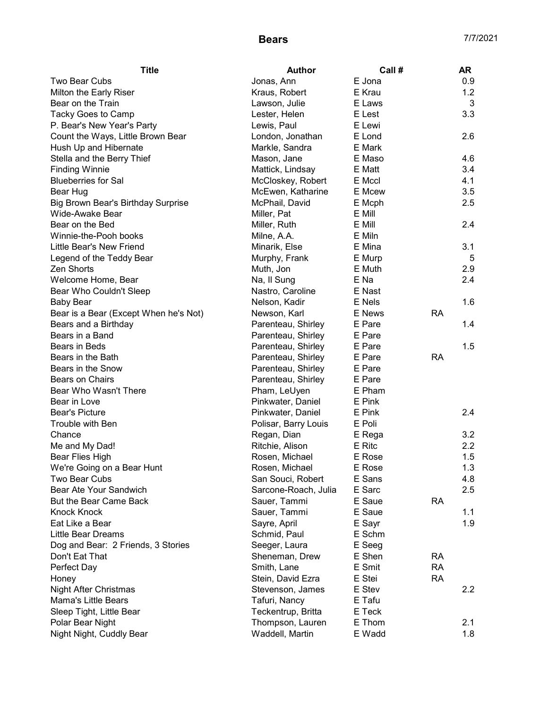| <b>Title</b>                          | <b>Author</b>        | Call # |           | AR               |
|---------------------------------------|----------------------|--------|-----------|------------------|
| Two Bear Cubs                         | Jonas, Ann           | E Jona |           | 0.9              |
| Milton the Early Riser                | Kraus, Robert        | E Krau |           | 1.2              |
| Bear on the Train                     | Lawson, Julie        | E Laws |           | 3                |
| Tacky Goes to Camp                    | Lester, Helen        | E Lest |           | 3.3              |
| P. Bear's New Year's Party            | Lewis, Paul          | E Lewi |           |                  |
| Count the Ways, Little Brown Bear     | London, Jonathan     | E Lond |           | 2.6              |
| Hush Up and Hibernate                 | Markle, Sandra       | E Mark |           |                  |
| Stella and the Berry Thief            | Mason, Jane          | E Maso |           | 4.6              |
| <b>Finding Winnie</b>                 | Mattick, Lindsay     | E Matt |           | 3.4              |
| <b>Blueberries for Sal</b>            | McCloskey, Robert    | E Mccl |           | 4.1              |
| Bear Hug                              | McEwen, Katharine    | E Mcew |           | 3.5              |
| Big Brown Bear's Birthday Surprise    | McPhail, David       | E Mcph |           | 2.5              |
| Wide-Awake Bear                       | Miller, Pat          | E Mill |           |                  |
| Bear on the Bed                       | Miller, Ruth         | E Mill |           | 2.4              |
| Winnie-the-Pooh books                 | Milne, A.A.          | E Miln |           |                  |
| Little Bear's New Friend              | Minarik, Else        | E Mina |           | 3.1              |
| Legend of the Teddy Bear              | Murphy, Frank        | E Murp |           | 5                |
| <b>Zen Shorts</b>                     | Muth, Jon            | E Muth |           | 2.9              |
| Welcome Home, Bear                    | Na, II Sung          | E Na   |           | 2.4              |
| Bear Who Couldn't Sleep               | Nastro, Caroline     | E Nast |           |                  |
| <b>Baby Bear</b>                      | Nelson, Kadir        | E Nels |           | 1.6              |
| Bear is a Bear (Except When he's Not) | Newson, Karl         | E News | <b>RA</b> |                  |
| Bears and a Birthday                  | Parenteau, Shirley   | E Pare |           | 1.4              |
| Bears in a Band                       | Parenteau, Shirley   | E Pare |           |                  |
| Bears in Beds                         | Parenteau, Shirley   | E Pare |           | 1.5              |
| Bears in the Bath                     | Parenteau, Shirley   | E Pare | <b>RA</b> |                  |
| Bears in the Snow                     | Parenteau, Shirley   | E Pare |           |                  |
| Bears on Chairs                       | Parenteau, Shirley   | E Pare |           |                  |
| Bear Who Wasn't There                 | Pham, LeUyen         | E Pham |           |                  |
| Bear in Love                          | Pinkwater, Daniel    | E Pink |           |                  |
| <b>Bear's Picture</b>                 | Pinkwater, Daniel    | E Pink |           | 2.4              |
| Trouble with Ben                      | Polisar, Barry Louis | E Poli |           |                  |
| Chance                                | Regan, Dian          | E Rega |           | 3.2              |
| Me and My Dad!                        | Ritchie, Alison      | E Ritc |           | 2.2              |
| Bear Flies High                       | Rosen, Michael       | E Rose |           | 1.5              |
| We're Going on a Bear Hunt            | Rosen, Michael       | E Rose |           | 1.3              |
| Two Bear Cubs                         | San Souci, Robert    | E Sans |           | 4.8              |
| Bear Ate Your Sandwich                | Sarcone-Roach, Julia | E Sarc |           | 2.5              |
| But the Bear Came Back                | Sauer, Tammi         | E Saue | <b>RA</b> |                  |
| <b>Knock Knock</b>                    | Sauer, Tammi         | E Saue |           | 1.1              |
| Eat Like a Bear                       | Sayre, April         | E Sayr |           | 1.9              |
| <b>Little Bear Dreams</b>             | Schmid, Paul         | E Schm |           |                  |
| Dog and Bear: 2 Friends, 3 Stories    | Seeger, Laura        | E Seeg |           |                  |
| Don't Eat That                        | Sheneman, Drew       | E Shen | RA        |                  |
| Perfect Day                           | Smith, Lane          | E Smit | <b>RA</b> |                  |
| Honey                                 | Stein, David Ezra    | E Stei | <b>RA</b> |                  |
| <b>Night After Christmas</b>          | Stevenson, James     | E Stev |           | $2.2\phantom{0}$ |
| Mama's Little Bears                   | Tafuri, Nancy        | E Tafu |           |                  |
| Sleep Tight, Little Bear              | Teckentrup, Britta   | E Teck |           |                  |
| Polar Bear Night                      | Thompson, Lauren     | E Thom |           | 2.1              |
| Night Night, Cuddly Bear              | Waddell, Martin      | E Wadd |           | 1.8              |
|                                       |                      |        |           |                  |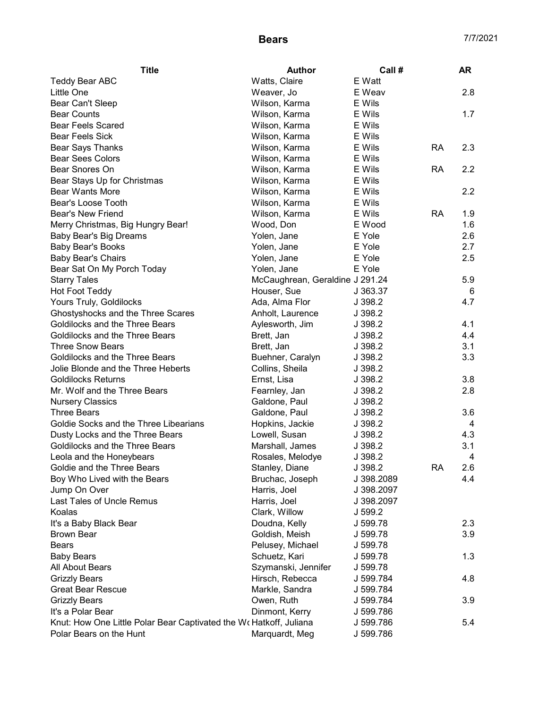| <b>Title</b>                                                       | <b>Author</b>                   | Call #     |           | AR  |
|--------------------------------------------------------------------|---------------------------------|------------|-----------|-----|
| Teddy Bear ABC                                                     | Watts, Claire                   | E Watt     |           |     |
| Little One                                                         | Weaver, Jo                      | E Weav     |           | 2.8 |
| Bear Can't Sleep                                                   | Wilson, Karma                   | E Wils     |           |     |
| <b>Bear Counts</b>                                                 | Wilson, Karma                   | E Wils     |           | 1.7 |
| <b>Bear Feels Scared</b>                                           | Wilson, Karma                   | E Wils     |           |     |
| <b>Bear Feels Sick</b>                                             | Wilson, Karma                   | E Wils     |           |     |
| <b>Bear Says Thanks</b>                                            | Wilson, Karma                   | E Wils     | <b>RA</b> | 2.3 |
| <b>Bear Sees Colors</b>                                            | Wilson, Karma                   | E Wils     |           |     |
| Bear Snores On                                                     | Wilson, Karma                   | E Wils     | <b>RA</b> | 2.2 |
| Bear Stays Up for Christmas                                        | Wilson, Karma                   | E Wils     |           |     |
| Bear Wants More                                                    | Wilson, Karma                   | E Wils     |           | 2.2 |
| Bear's Loose Tooth                                                 | Wilson, Karma                   | E Wils     |           |     |
| <b>Bear's New Friend</b>                                           | Wilson, Karma                   | E Wils     | <b>RA</b> | 1.9 |
| Merry Christmas, Big Hungry Bear!                                  | Wood, Don                       | E Wood     |           | 1.6 |
| Baby Bear's Big Dreams                                             | Yolen, Jane                     | E Yole     |           | 2.6 |
| <b>Baby Bear's Books</b>                                           | Yolen, Jane                     | E Yole     |           | 2.7 |
| <b>Baby Bear's Chairs</b>                                          | Yolen, Jane                     | E Yole     |           | 2.5 |
| Bear Sat On My Porch Today                                         | Yolen, Jane                     | E Yole     |           |     |
| <b>Starry Tales</b>                                                | McCaughrean, Geraldine J 291.24 |            |           | 5.9 |
| <b>Hot Foot Teddy</b>                                              | Houser, Sue                     | J 363.37   |           | 6   |
| Yours Truly, Goldilocks                                            | Ada, Alma Flor                  | J 398.2    |           | 4.7 |
| Ghostyshocks and the Three Scares                                  | Anholt, Laurence                | J 398.2    |           |     |
| Goldilocks and the Three Bears                                     | Aylesworth, Jim                 | J 398.2    |           | 4.1 |
| Goldilocks and the Three Bears                                     | Brett, Jan                      | J 398.2    |           | 4.4 |
| <b>Three Snow Bears</b>                                            | Brett, Jan                      | J 398.2    |           | 3.1 |
| Goldilocks and the Three Bears                                     | Buehner, Caralyn                | J 398.2    |           | 3.3 |
| Jolie Blonde and the Three Heberts                                 | Collins, Sheila                 | J 398.2    |           |     |
| <b>Goldilocks Returns</b>                                          | Ernst, Lisa                     | J 398.2    |           | 3.8 |
| Mr. Wolf and the Three Bears                                       | Fearnley, Jan                   | J 398.2    |           | 2.8 |
| <b>Nursery Classics</b>                                            | Galdone, Paul                   | J 398.2    |           |     |
| <b>Three Bears</b>                                                 | Galdone, Paul                   | J 398.2    |           | 3.6 |
| Goldie Socks and the Three Libearians                              | Hopkins, Jackie                 | J 398.2    |           | 4   |
| Dusty Locks and the Three Bears                                    | Lowell, Susan                   | J 398.2    |           | 4.3 |
| Goldilocks and the Three Bears                                     | Marshall, James                 | J 398.2    |           | 3.1 |
| Leola and the Honeybears                                           | Rosales, Melodye                | J 398.2    |           | 4   |
| Goldie and the Three Bears                                         | Stanley, Diane                  | J 398.2    | <b>RA</b> | 2.6 |
| Boy Who Lived with the Bears                                       | Bruchac, Joseph                 | J 398.2089 |           | 4.4 |
| Jump On Over                                                       | Harris, Joel                    | J 398.2097 |           |     |
| Last Tales of Uncle Remus                                          | Harris, Joel                    | J 398.2097 |           |     |
| Koalas                                                             | Clark, Willow                   | J 599.2    |           |     |
| It's a Baby Black Bear                                             | Doudna, Kelly                   | J 599.78   |           | 2.3 |
| <b>Brown Bear</b>                                                  | Goldish, Meish                  | J 599.78   |           | 3.9 |
| <b>Bears</b>                                                       | Pelusey, Michael                | J 599.78   |           |     |
| <b>Baby Bears</b>                                                  | Schuetz, Kari                   | J 599.78   |           | 1.3 |
| All About Bears                                                    | Szymanski, Jennifer             | J 599.78   |           |     |
| <b>Grizzly Bears</b>                                               | Hirsch, Rebecca                 | J 599.784  |           | 4.8 |
| <b>Great Bear Rescue</b>                                           | Markle, Sandra                  | J 599.784  |           |     |
| <b>Grizzly Bears</b>                                               | Owen, Ruth                      | J 599.784  |           | 3.9 |
| It's a Polar Bear                                                  | Dinmont, Kerry                  | J 599.786  |           |     |
| Knut: How One Little Polar Bear Captivated the Wo Hatkoff, Juliana |                                 | J 599.786  |           | 5.4 |
| Polar Bears on the Hunt                                            | Marquardt, Meg                  | J 599.786  |           |     |
|                                                                    |                                 |            |           |     |